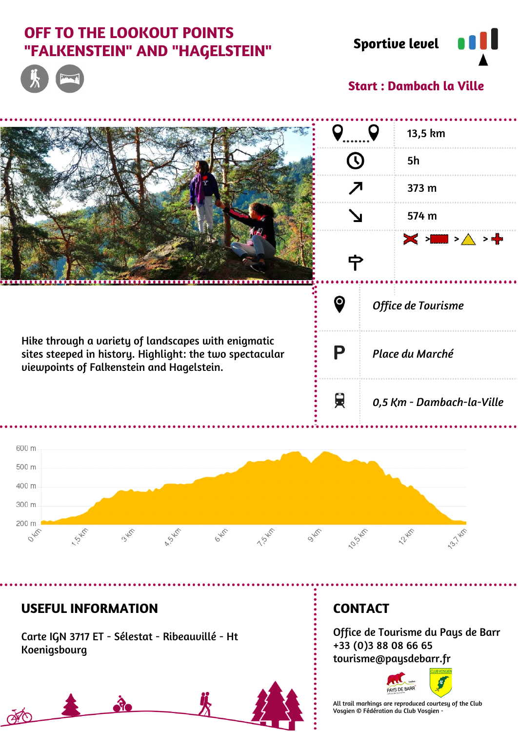# **OFF TO THE LOOKOUT POINTS "FALKENSTEIN" AND "HAGELSTEIN" Sportive level**





### **Start : Dambach la Ville**

|                                                                                                                                                              |   |                           | 13,5 km                                                |
|--------------------------------------------------------------------------------------------------------------------------------------------------------------|---|---------------------------|--------------------------------------------------------|
| ↗                                                                                                                                                            |   |                           | <b>5h</b>                                              |
|                                                                                                                                                              |   |                           | 373 m                                                  |
|                                                                                                                                                              |   |                           | 574 m                                                  |
|                                                                                                                                                              |   |                           | $\times$ > $\blacksquare$ > $\wedge$ > $\blacklozenge$ |
| Hike through a variety of landscapes with enigmatic<br>sites steeped in history. Highlight: the two spectacular<br>viewpoints of Falkenstein and Hagelstein. | Ю | Office de Tourisme        |                                                        |
|                                                                                                                                                              | P | Place du Marché           |                                                        |
|                                                                                                                                                              | 貝 | 0,5 Km - Dambach-la-Ville |                                                        |
| 600 m                                                                                                                                                        |   |                           |                                                        |
| 500 m                                                                                                                                                        |   |                           |                                                        |
| 400 m                                                                                                                                                        |   |                           |                                                        |
| $000 -$                                                                                                                                                      |   |                           |                                                        |

#### **USEFUL INFORMATION**

1.549

200 m

FO

**PAS** 

Carte IGN 3717 ET - Sélestat - Ribeauvillé - Ht Koenigsbourg

**SP** 

345

A.S.H.P

## **CONTACT**

10.55 W

**OVER** 

1.545

6 HZ

Office de Tourisme du Pays de Barr +33 (0)3 88 08 66 65 tourisme@paysdebarr.fr

2245



19.145

All trail markings are reproduced courtesy of the Club Vosgien © Fédération du Club Vosgien -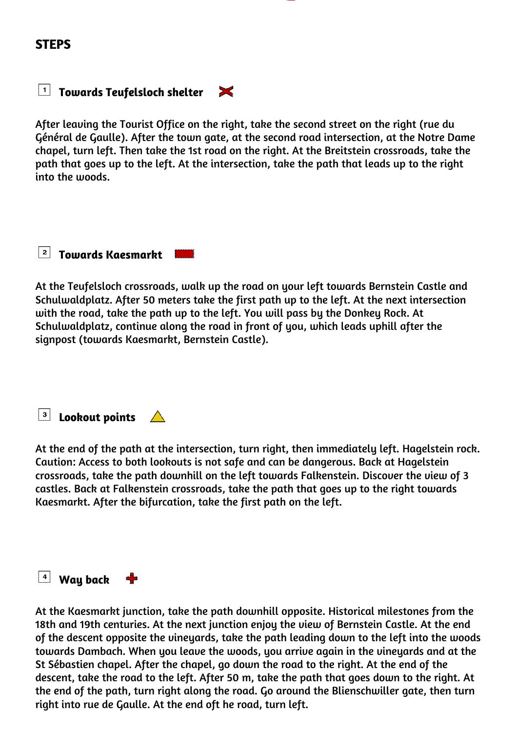#### **STEPS**

#### **T** Towards Teufelsloch shelter  $\mathsf{X}$

After leaving the Tourist Office on the right, take the second street on the right (rue du Général de Gaulle). After the town gate, at the second road intersection, at the Notre Dame chapel, turn left. Then take the 1st road on the right. At the Breitstein crossroads, take the path that goes up to the left. At the intersection, take the path that leads up to the right into the woods.

#### **Towards Kaesmarkt**

At the Teufelsloch crossroads, walk up the road on your left towards Bernstein Castle and Schulwaldplatz. After 50 meters take the first path up to the left. At the next intersection with the road, take the path up to the left. You will pass by the Donkey Rock. At Schulwaldplatz, continue along the road in front of you, which leads uphill after the signpost (towards Kaesmarkt, Bernstein Castle).

| з  **Lookout points**

At the end of the path at the intersection, turn right, then immediately left. Hagelstein rock. Caution: Access to both lookouts is not safe and can be dangerous. Back at Hagelstein crossroads, take the path downhill on the left towards Falkenstein. Discover the view of 3 castles. Back at Falkenstein crossroads, take the path that goes up to the right towards Kaesmarkt. After the bifurcation, take the first path on the left.

### **4** Way back **+**

At the Kaesmarkt junction, take the path downhill opposite. Historical milestones from the 18th and 19th centuries. At the next junction enjoy the view of Bernstein Castle. At the end of the descent opposite the vineyards, take the path leading down to the left into the woods towards Dambach. When you leave the woods, you arrive again in the vineyards and at the St Sébastien chapel. After the chapel, go down the road to the right. At the end of the descent, take the road to the left. After 50 m, take the path that goes down to the right. At the end of the path, turn right along the road. Go around the Blienschwiller gate, then turn right into rue de Gaulle. At the end oft he road, turn left.